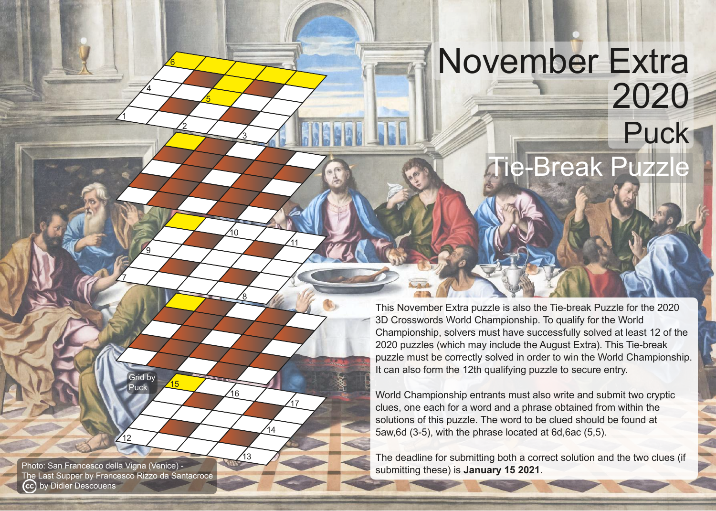## November Extra 2020 Puck ie-Break Puzzle

This November Extra puzzle is also the Tie-break Puzzle for the 2020 3D Crosswords World Championship. To qualify for the World Championship, solvers must have successfully solved at least 12 of the 2020 puzzles (which may include the August Extra). This Tie-break puzzle must be correctly solved in order to win the World Championship. It can also form the 12th qualifying puzzle to secure entry.

World Championship entrants must also write and submit two cryptic clues, one each for a word and a phrase obtained from within the solutions of this puzzle. The word to be clued should be found at 5aw, 6d (3-5), with the phrase located at 6d, 6ac (5, 5).

The deadline for submitting both a correct solution and the two clues (if submitting these) is **January 15 2021**.

Photo: San Francesco della Vigna (Venice) The Last Supper by Francesco Rizzo da Santacroce (cc) by Didier Descouens

 $12$ 

**Grid by** Puck

15

1

7

9

 $\overline{4}$ 

2

6

5

3

8

 $\overline{0}$ 

16

 $^{\prime}$ 13

11

17

14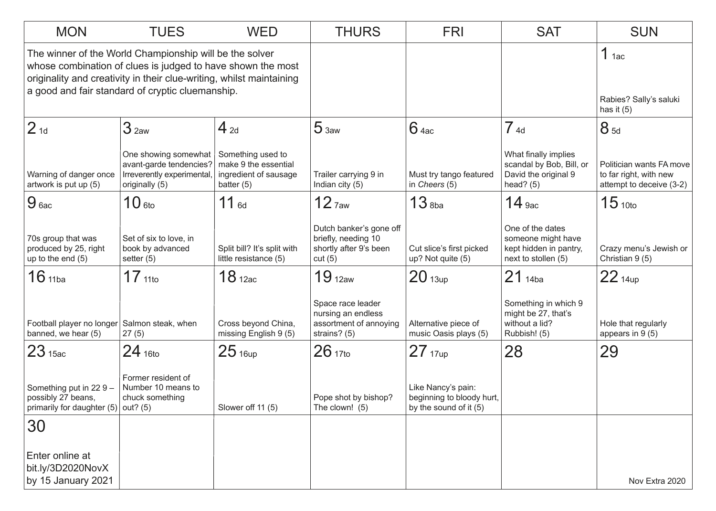| <b>MON</b>                                                                                                                                                                                                                                         | <b>TUES</b>                                                                                     | <b>WED</b>                                                                         | <b>THURS</b>                                                                       | <b>FRI</b>                                                                | <b>SAT</b>                                                                              | <b>SUN</b>                                                                     |
|----------------------------------------------------------------------------------------------------------------------------------------------------------------------------------------------------------------------------------------------------|-------------------------------------------------------------------------------------------------|------------------------------------------------------------------------------------|------------------------------------------------------------------------------------|---------------------------------------------------------------------------|-----------------------------------------------------------------------------------------|--------------------------------------------------------------------------------|
| The winner of the World Championship will be the solver<br>whose combination of clues is judged to have shown the most<br>originality and creativity in their clue-writing, whilst maintaining<br>a good and fair standard of cryptic cluemanship. |                                                                                                 |                                                                                    |                                                                                    |                                                                           |                                                                                         | $1$ 1ac<br>Rabies? Sally's saluki                                              |
|                                                                                                                                                                                                                                                    |                                                                                                 |                                                                                    |                                                                                    |                                                                           |                                                                                         | has it $(5)$                                                                   |
| 2 <sub>1d</sub>                                                                                                                                                                                                                                    | 3 <sub>2aw</sub>                                                                                | $4_{2d}$                                                                           | 5 <sub>3aw</sub>                                                                   | $6$ 4ac                                                                   | 74d                                                                                     | 8 <sub>5d</sub>                                                                |
| Warning of danger once<br>artwork is put up (5)                                                                                                                                                                                                    | One showing somewhat<br>avant-garde tendencies?<br>Irreverently experimental,<br>originally (5) | Something used to<br>make 9 the essential<br>ingredient of sausage<br>batter $(5)$ | Trailer carrying 9 in<br>Indian city (5)                                           | Must try tango featured<br>in Cheers (5)                                  | What finally implies<br>scandal by Bob, Bill, or<br>David the original 9<br>head? $(5)$ | Politician wants FA move<br>to far right, with new<br>attempt to deceive (3-2) |
| 9 <sub>6ac</sub>                                                                                                                                                                                                                                   | $10$ 6to                                                                                        | $11_{6d}$                                                                          | $12$ $7$ aw                                                                        | $13$ <sub>8ba</sub>                                                       | $14$ 9ac                                                                                | 15 <sub>10to</sub>                                                             |
| 70s group that was<br>produced by 25, right<br>up to the end $(5)$                                                                                                                                                                                 | Set of six to love, in<br>book by advanced<br>setter $(5)$                                      | Split bill? It's split with<br>little resistance (5)                               | Dutch banker's gone off<br>briefly, needing 10<br>shortly after 9's been<br>cut(5) | Cut slice's first picked<br>up? Not quite (5)                             | One of the dates<br>someone might have<br>kept hidden in pantry,<br>next to stollen (5) | Crazy menu's Jewish or<br>Christian 9 (5)                                      |
| $16$ 11ba                                                                                                                                                                                                                                          | 17 <sub>11to</sub>                                                                              | 18 <sub>12ac</sub>                                                                 | 19 <sub>12aw</sub>                                                                 | 20 <sub>13up</sub>                                                        | $21_{14ba}$                                                                             | $22$ 14up                                                                      |
| Football player no longer<br>banned, we hear (5)                                                                                                                                                                                                   | Salmon steak, when<br>27(5)                                                                     | Cross beyond China,<br>missing English 9 (5)                                       | Space race leader<br>nursing an endless<br>assortment of annoying<br>strains? (5)  | Alternative piece of<br>music Oasis plays (5)                             | Something in which 9<br>might be 27, that's<br>without a lid?<br>Rubbish! (5)           | Hole that regularly<br>appears in $9(5)$                                       |
| 23 <sub>15ac</sub>                                                                                                                                                                                                                                 | $24$ 16to                                                                                       | 25 <sub>16up</sub>                                                                 | 261710                                                                             | 27 <sub>17up</sub>                                                        | 28                                                                                      | 29                                                                             |
| Something put in $229 -$<br>possibly 27 beans,<br>primarily for daughter (5)                                                                                                                                                                       | Former resident of<br>Number 10 means to<br>chuck something<br>out? $(5)$                       | Slower off 11 (5)                                                                  | Pope shot by bishop?<br>The clown! (5)                                             | Like Nancy's pain:<br>beginning to bloody hurt,<br>by the sound of it (5) |                                                                                         |                                                                                |
| 30                                                                                                                                                                                                                                                 |                                                                                                 |                                                                                    |                                                                                    |                                                                           |                                                                                         |                                                                                |
| Enter online at<br>bit.ly/3D2020NovX<br>by 15 January 2021                                                                                                                                                                                         |                                                                                                 |                                                                                    |                                                                                    |                                                                           |                                                                                         | Nov Extra 2020                                                                 |